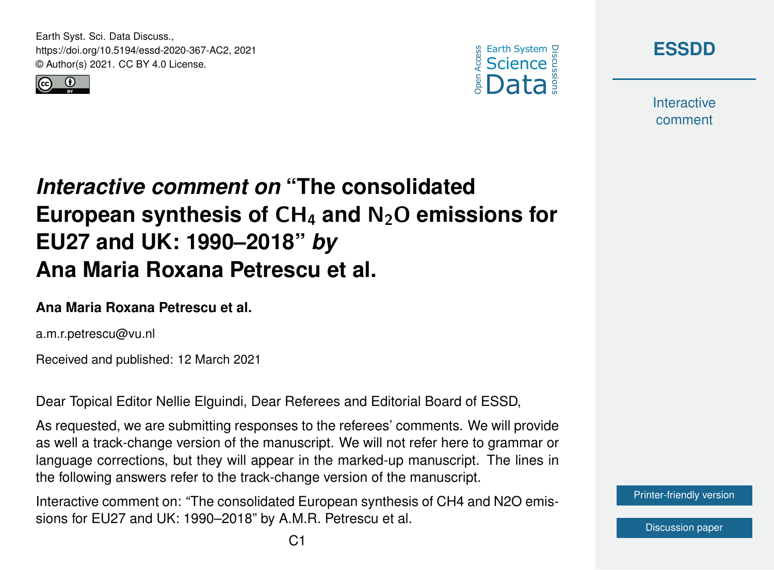Earth Syst. Sci. Data Discuss., https://doi.org/10.5194/essd-2020-367-AC2, 2021 © Author(s) 2021. CC BY 4.0 License.







**Interactive** comment

# *Interactive comment on* **"The consolidated European synthesis of** CH<sup>4</sup> **and** N2O **emissions for EU27 and UK: 1990–2018"** *by* **Ana Maria Roxana Petrescu et al.**

#### **Ana Maria Roxana Petrescu et al.**

a.m.r.petrescu@vu.nl

Received and published: 12 March 2021

Dear Topical Editor Nellie Elguindi, Dear Referees and Editorial Board of ESSD,

As requested, we are submitting responses to the referees' comments. We will provide as well a track-change version of the manuscript. We will not refer here to grammar or language corrections, but they will appear in the marked-up manuscript. The lines in the following answers refer to the track-change version of the manuscript.

Interactive comment on: "The consolidated European synthesis of CH4 and N2O emissions for EU27 and UK: 1990–2018" by A.M.R. Petrescu et al.

[Printer-friendly version](https://essd.copernicus.org/preprints/essd-2020-367/essd-2020-367-AC2-print.pdf)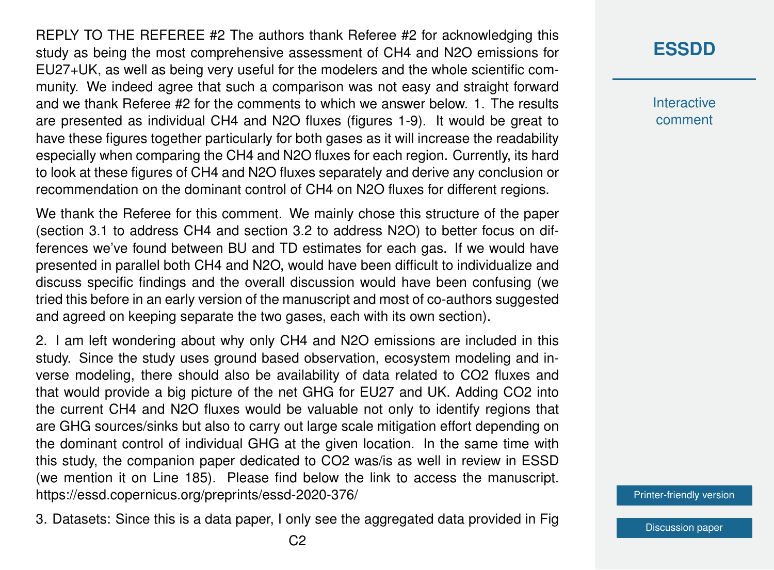REPLY TO THE REFEREE #2 The authors thank Referee #2 for acknowledging this study as being the most comprehensive assessment of CH4 and N2O emissions for EU27+UK, as well as being very useful for the modelers and the whole scientific community. We indeed agree that such a comparison was not easy and straight forward and we thank Referee #2 for the comments to which we answer below. 1. The results are presented as individual CH4 and N2O fluxes (figures 1-9). It would be great to have these figures together particularly for both gases as it will increase the readability especially when comparing the CH4 and N2O fluxes for each region. Currently, its hard to look at these figures of CH4 and N2O fluxes separately and derive any conclusion or recommendation on the dominant control of CH4 on N2O fluxes for different regions.

We thank the Referee for this comment. We mainly chose this structure of the paper (section 3.1 to address CH4 and section 3.2 to address N2O) to better focus on differences we've found between BU and TD estimates for each gas. If we would have presented in parallel both CH4 and N2O, would have been difficult to individualize and discuss specific findings and the overall discussion would have been confusing (we tried this before in an early version of the manuscript and most of co-authors suggested and agreed on keeping separate the two gases, each with its own section).

2. I am left wondering about why only CH4 and N2O emissions are included in this study. Since the study uses ground based observation, ecosystem modeling and inverse modeling, there should also be availability of data related to CO2 fluxes and that would provide a big picture of the net GHG for EU27 and UK. Adding CO2 into the current CH4 and N2O fluxes would be valuable not only to identify regions that are GHG sources/sinks but also to carry out large scale mitigation effort depending on the dominant control of individual GHG at the given location. In the same time with this study, the companion paper dedicated to CO2 was/is as well in review in ESSD (we mention it on Line 185). Please find below the link to access the manuscript. https://essd.copernicus.org/preprints/essd-2020-376/

3. Datasets: Since this is a data paper, I only see the aggregated data provided in Fig

## **[ESSDD](https://essd.copernicus.org/preprints/)**

**Interactive** comment

[Printer-friendly version](https://essd.copernicus.org/preprints/essd-2020-367/essd-2020-367-AC2-print.pdf)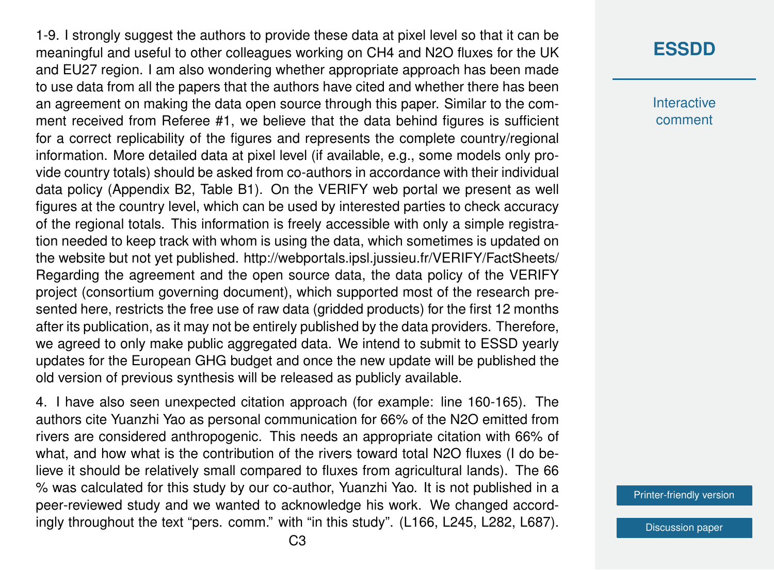1-9. I strongly suggest the authors to provide these data at pixel level so that it can be meaningful and useful to other colleagues working on CH4 and N2O fluxes for the UK and EU27 region. I am also wondering whether appropriate approach has been made to use data from all the papers that the authors have cited and whether there has been an agreement on making the data open source through this paper. Similar to the comment received from Referee #1, we believe that the data behind figures is sufficient for a correct replicability of the figures and represents the complete country/regional information. More detailed data at pixel level (if available, e.g., some models only provide country totals) should be asked from co-authors in accordance with their individual data policy (Appendix B2, Table B1). On the VERIFY web portal we present as well figures at the country level, which can be used by interested parties to check accuracy of the regional totals. This information is freely accessible with only a simple registration needed to keep track with whom is using the data, which sometimes is updated on the website but not yet published. http://webportals.ipsl.jussieu.fr/VERIFY/FactSheets/ Regarding the agreement and the open source data, the data policy of the VERIFY project (consortium governing document), which supported most of the research presented here, restricts the free use of raw data (gridded products) for the first 12 months after its publication, as it may not be entirely published by the data providers. Therefore, we agreed to only make public aggregated data. We intend to submit to ESSD yearly updates for the European GHG budget and once the new update will be published the old version of previous synthesis will be released as publicly available.

4. I have also seen unexpected citation approach (for example: line 160-165). The authors cite Yuanzhi Yao as personal communication for 66% of the N2O emitted from rivers are considered anthropogenic. This needs an appropriate citation with 66% of what, and how what is the contribution of the rivers toward total N2O fluxes (I do believe it should be relatively small compared to fluxes from agricultural lands). The 66 % was calculated for this study by our co-author, Yuanzhi Yao. It is not published in a peer-reviewed study and we wanted to acknowledge his work. We changed accordingly throughout the text "pers. comm." with "in this study". (L166, L245, L282, L687).

## **[ESSDD](https://essd.copernicus.org/preprints/)**

**Interactive** comment

[Printer-friendly version](https://essd.copernicus.org/preprints/essd-2020-367/essd-2020-367-AC2-print.pdf)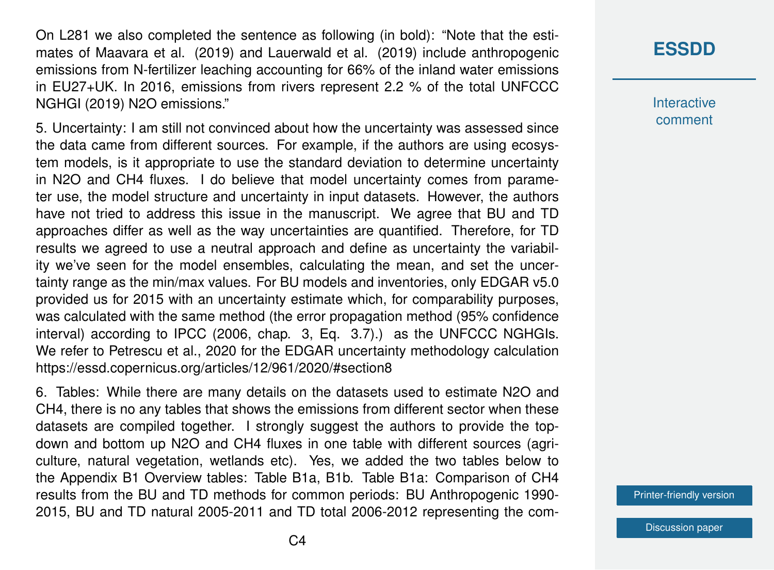On L281 we also completed the sentence as following (in bold): "Note that the estimates of Maavara et al. (2019) and Lauerwald et al. (2019) include anthropogenic emissions from N-fertilizer leaching accounting for 66% of the inland water emissions in EU27+UK. In 2016, emissions from rivers represent 2.2 % of the total UNFCCC NGHGI (2019) N2O emissions."

5. Uncertainty: I am still not convinced about how the uncertainty was assessed since the data came from different sources. For example, if the authors are using ecosystem models, is it appropriate to use the standard deviation to determine uncertainty in N2O and CH4 fluxes. I do believe that model uncertainty comes from parameter use, the model structure and uncertainty in input datasets. However, the authors have not tried to address this issue in the manuscript. We agree that BU and TD approaches differ as well as the way uncertainties are quantified. Therefore, for TD results we agreed to use a neutral approach and define as uncertainty the variability we've seen for the model ensembles, calculating the mean, and set the uncertainty range as the min/max values. For BU models and inventories, only EDGAR v5.0 provided us for 2015 with an uncertainty estimate which, for comparability purposes, was calculated with the same method (the error propagation method (95% confidence interval) according to IPCC (2006, chap. 3, Eq. 3.7).) as the UNFCCC NGHGIs. We refer to Petrescu et al., 2020 for the EDGAR uncertainty methodology calculation https://essd.copernicus.org/articles/12/961/2020/#section8

6. Tables: While there are many details on the datasets used to estimate N2O and CH4, there is no any tables that shows the emissions from different sector when these datasets are compiled together. I strongly suggest the authors to provide the topdown and bottom up N2O and CH4 fluxes in one table with different sources (agriculture, natural vegetation, wetlands etc). Yes, we added the two tables below to the Appendix B1 Overview tables: Table B1a, B1b. Table B1a: Comparison of CH4 results from the BU and TD methods for common periods: BU Anthropogenic 1990- 2015, BU and TD natural 2005-2011 and TD total 2006-2012 representing the com-

## **[ESSDD](https://essd.copernicus.org/preprints/)**

**Interactive** comment

[Printer-friendly version](https://essd.copernicus.org/preprints/essd-2020-367/essd-2020-367-AC2-print.pdf)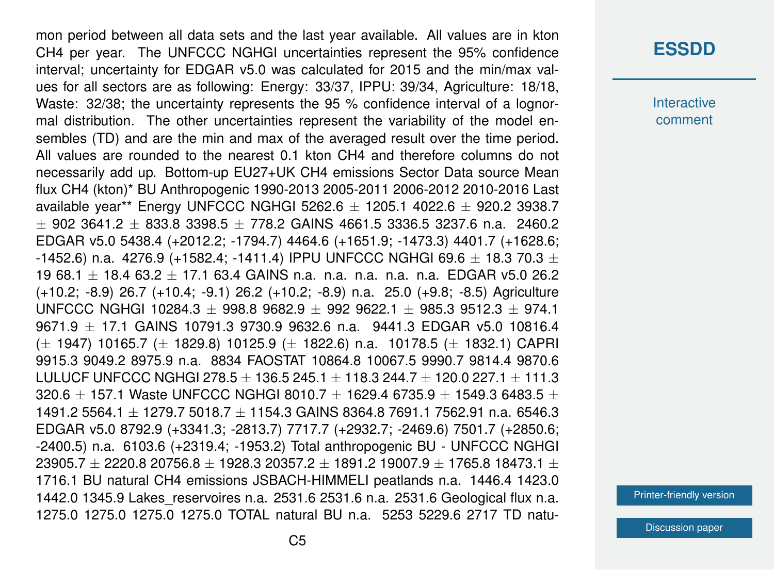mon period between all data sets and the last year available. All values are in kton CH4 per year. The UNFCCC NGHGI uncertainties represent the 95% confidence interval; uncertainty for EDGAR v5.0 was calculated for 2015 and the min/max values for all sectors are as following: Energy: 33/37, IPPU: 39/34, Agriculture: 18/18, Waste: 32/38; the uncertainty represents the 95 % confidence interval of a lognormal distribution. The other uncertainties represent the variability of the model ensembles (TD) and are the min and max of the averaged result over the time period. All values are rounded to the nearest 0.1 kton CH4 and therefore columns do not necessarily add up. Bottom-up EU27+UK CH4 emissions Sector Data source Mean flux CH4 (kton)\* BU Anthropogenic 1990-2013 2005-2011 2006-2012 2010-2016 Last available year\*\* Energy UNFCCC NGHGI 5262.6  $\pm$  1205.1 4022.6  $\pm$  920.2 3938.7  $\pm$  902 3641.2  $\pm$  833.8 3398.5  $\pm$  778.2 GAINS 4661.5 3336.5 3237.6 n.a. 2460.2 EDGAR v5.0 5438.4 (+2012.2; -1794.7) 4464.6 (+1651.9; -1473.3) 4401.7 (+1628.6; -1452.6) n.a. 4276.9 (+1582.4; -1411.4) IPPU UNFCCC NGHGI 69.6  $\pm$  18.3 70.3  $\pm$ 19 68.1  $\pm$  18.4 63.2  $\pm$  17.1 63.4 GAINS n.a. n.a. n.a. n.a. n.a. EDGAR v5.0 26.2 (+10.2; -8.9) 26.7 (+10.4; -9.1) 26.2 (+10.2; -8.9) n.a. 25.0 (+9.8; -8.5) Agriculture UNFCCC NGHGI 10284.3  $\pm$  998.8 9682.9  $\pm$  992 9622.1  $\pm$  985.3 9512.3  $\pm$  974.1 9671.9 ± 17.1 GAINS 10791.3 9730.9 9632.6 n.a. 9441.3 EDGAR v5.0 10816.4  $(\pm 1947)$  10165.7 ( $\pm 1829.8$ ) 10125.9 ( $\pm 1822.6$ ) n.a. 10178.5 ( $\pm 1832.1$ ) CAPRI 9915.3 9049.2 8975.9 n.a. 8834 FAOSTAT 10864.8 10067.5 9990.7 9814.4 9870.6 LULUCF UNFCCC NGHGI 278.5  $\pm$  136.5 245.1  $\pm$  118.3 244.7  $\pm$  120.0 227.1  $\pm$  111.3 320.6  $\pm$  157.1 Waste UNFCCC NGHGI 8010.7  $\pm$  1629.4 6735.9  $\pm$  1549.3 6483.5  $\pm$ 1491.2 5564.1 ± 1279.7 5018.7 ± 1154.3 GAINS 8364.8 7691.1 7562.91 n.a. 6546.3 EDGAR v5.0 8792.9 (+3341.3; -2813.7) 7717.7 (+2932.7; -2469.6) 7501.7 (+2850.6; -2400.5) n.a. 6103.6 (+2319.4; -1953.2) Total anthropogenic BU - UNFCCC NGHGI  $23905.7 \pm 2220.8 \cdot 20756.8 \pm 1928.3 \cdot 20357.2 \pm 1891.2 \cdot 19007.9 \pm 1765.8 \cdot 18473.1 \pm 1993.8 \cdot 1993.8 \cdot 1993.8 \cdot 1993.8 \cdot 1993.8 \cdot 1993.8 \cdot 1993.8 \cdot 1993.8 \cdot 1993.8 \cdot 1993.8 \cdot 1993.8 \cdot 1993.8 \cdot 1993.8 \cdot 1993.8 \cdot 1993.8 \cdot$ 1716.1 BU natural CH4 emissions JSBACH-HIMMELI peatlands n.a. 1446.4 1423.0 1442.0 1345.9 Lakes\_reservoires n.a. 2531.6 2531.6 n.a. 2531.6 Geological flux n.a. 1275.0 1275.0 1275.0 1275.0 TOTAL natural BU n.a. 5253 5229.6 2717 TD natu-

#### **[ESSDD](https://essd.copernicus.org/preprints/)**

**Interactive** comment

[Printer-friendly version](https://essd.copernicus.org/preprints/essd-2020-367/essd-2020-367-AC2-print.pdf)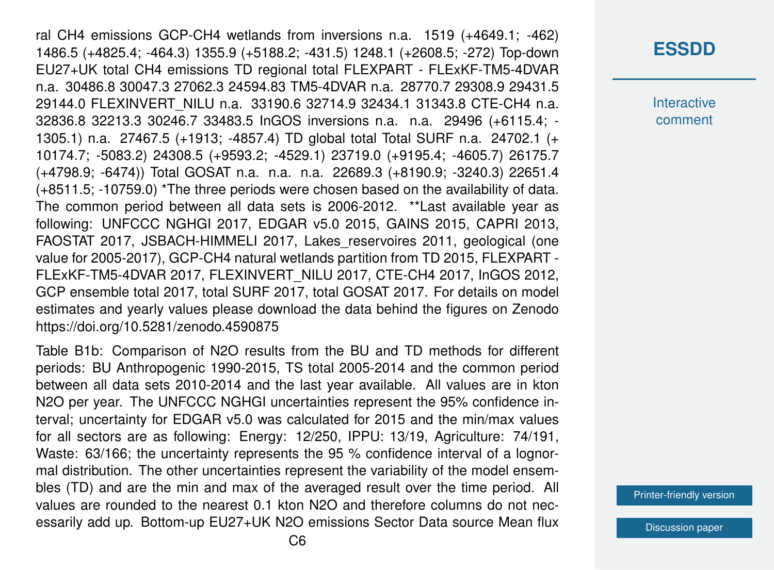ral CH4 emissions GCP-CH4 wetlands from inversions n.a. 1519 (+4649.1; -462) 1486.5 (+4825.4; -464.3) 1355.9 (+5188.2; -431.5) 1248.1 (+2608.5; -272) Top-down EU27+UK total CH4 emissions TD regional total FLEXPART - FLExKF-TM5-4DVAR n.a. 30486.8 30047.3 27062.3 24594.83 TM5-4DVAR n.a. 28770.7 29308.9 29431.5 29144.0 FLEXINVERT\_NILU n.a. 33190.6 32714.9 32434.1 31343.8 CTE-CH4 n.a. 32836.8 32213.3 30246.7 33483.5 InGOS inversions n.a. n.a. 29496 (+6115.4; - 1305.1) n.a. 27467.5 (+1913; -4857.4) TD global total Total SURF n.a. 24702.1 (+ 10174.7; -5083.2) 24308.5 (+9593.2; -4529.1) 23719.0 (+9195.4; -4605.7) 26175.7 (+4798.9; -6474)) Total GOSAT n.a. n.a. n.a. 22689.3 (+8190.9; -3240.3) 22651.4 (+8511.5; -10759.0) \*The three periods were chosen based on the availability of data. The common period between all data sets is 2006-2012. \*\*Last available year as following: UNFCCC NGHGI 2017, EDGAR v5.0 2015, GAINS 2015, CAPRI 2013, FAOSTAT 2017, JSBACH-HIMMELI 2017, Lakes reservoires 2011, geological (one value for 2005-2017), GCP-CH4 natural wetlands partition from TD 2015, FLEXPART - FLExKF-TM5-4DVAR 2017, FLEXINVERT\_NILU 2017, CTE-CH4 2017, InGOS 2012, GCP ensemble total 2017, total SURF 2017, total GOSAT 2017. For details on model estimates and yearly values please download the data behind the figures on Zenodo https://doi.org/10.5281/zenodo.4590875

Table B1b: Comparison of N2O results from the BU and TD methods for different periods: BU Anthropogenic 1990-2015, TS total 2005-2014 and the common period between all data sets 2010-2014 and the last year available. All values are in kton N2O per year. The UNFCCC NGHGI uncertainties represent the 95% confidence interval; uncertainty for EDGAR v5.0 was calculated for 2015 and the min/max values for all sectors are as following: Energy: 12/250, IPPU: 13/19, Agriculture: 74/191, Waste: 63/166; the uncertainty represents the 95 % confidence interval of a lognormal distribution. The other uncertainties represent the variability of the model ensembles (TD) and are the min and max of the averaged result over the time period. All values are rounded to the nearest 0.1 kton N2O and therefore columns do not necessarily add up. Bottom-up EU27+UK N2O emissions Sector Data source Mean flux

### **[ESSDD](https://essd.copernicus.org/preprints/)**

**Interactive** comment

[Printer-friendly version](https://essd.copernicus.org/preprints/essd-2020-367/essd-2020-367-AC2-print.pdf)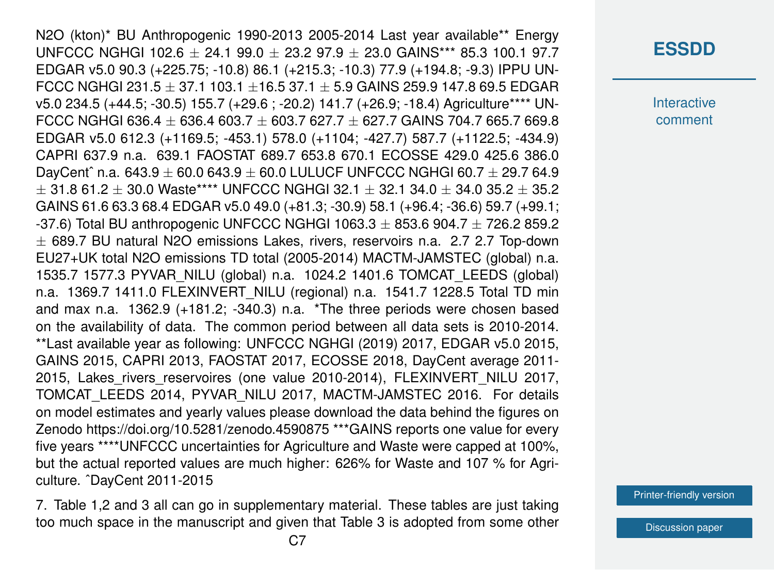N2O (kton)\* BU Anthropogenic 1990-2013 2005-2014 Last year available\*\* Energy UNFCCC NGHGI 102.6 + 24.1 99.0 + 23.2 97.9 + 23.0 GAINS\*\*\* 85.3 100.1 97.7 EDGAR v5.0 90.3 (+225.75; -10.8) 86.1 (+215.3; -10.3) 77.9 (+194.8; -9.3) IPPU UN-FCCC NGHGI 231.5  $\pm$  37.1 103.1  $\pm$ 16.5 37.1  $\pm$  5.9 GAINS 259.9 147.8 69.5 EDGAR v5.0 234.5 (+44.5; -30.5) 155.7 (+29.6 ; -20.2) 141.7 (+26.9; -18.4) Agriculture\*\*\*\* UN-FCCC NGHGI 636.4  $\pm$  636.4 603.7  $\pm$  603.7 627.7  $\pm$  627.7 GAINS 704.7 665.7 669.8 EDGAR v5.0 612.3 (+1169.5; -453.1) 578.0 (+1104; -427.7) 587.7 (+1122.5; -434.9) CAPRI 637.9 n.a. 639.1 FAOSTAT 689.7 653.8 670.1 ECOSSE 429.0 425.6 386.0 DayCent^ n.a.  $643.9 \pm 60.0$   $643.9 \pm 60.0$  LULUCF UNFCCC NGHGI  $60.7 \pm 29.7$   $64.9$  $\pm$  31.8 61.2  $\pm$  30.0 Waste\*\*\*\* UNFCCC NGHGI 32.1  $\pm$  32.1 34.0  $\pm$  34.0 35.2  $\pm$  35.2 GAINS 61.6 63.3 68.4 EDGAR v5.0 49.0 (+81.3; -30.9) 58.1 (+96.4; -36.6) 59.7 (+99.1; -37.6) Total BU anthropogenic UNFCCC NGHGI 1063.3  $\pm$  853.6 904.7  $\pm$  726.2 859.2  $\pm$  689.7 BU natural N2O emissions Lakes, rivers, reservoirs n.a. 2.7 2.7 Top-down EU27+UK total N2O emissions TD total (2005-2014) MACTM-JAMSTEC (global) n.a. 1535.7 1577.3 PYVAR\_NILU (global) n.a. 1024.2 1401.6 TOMCAT\_LEEDS (global) n.a. 1369.7 1411.0 FLEXINVERT\_NILU (regional) n.a. 1541.7 1228.5 Total TD min and max n.a. 1362.9 (+181.2; -340.3) n.a. \*The three periods were chosen based on the availability of data. The common period between all data sets is 2010-2014. \*\*Last available year as following: UNFCCC NGHGI (2019) 2017, EDGAR v5.0 2015, GAINS 2015, CAPRI 2013, FAOSTAT 2017, ECOSSE 2018, DayCent average 2011- 2015, Lakes\_rivers\_reservoires (one value 2010-2014), FLEXINVERT\_NILU 2017, TOMCAT\_LEEDS 2014, PYVAR\_NILU 2017, MACTM-JAMSTEC 2016. For details on model estimates and yearly values please download the data behind the figures on Zenodo https://doi.org/10.5281/zenodo.4590875 \*\*\*GAINS reports one value for every five years \*\*\*\*UNFCCC uncertainties for Agriculture and Waste were capped at 100%, but the actual reported values are much higher: 626% for Waste and 107 % for Agriculture. ˆDayCent 2011-2015

7. Table 1,2 and 3 all can go in supplementary material. These tables are just taking too much space in the manuscript and given that Table 3 is adopted from some other

## **[ESSDD](https://essd.copernicus.org/preprints/)**

**Interactive** comment

[Printer-friendly version](https://essd.copernicus.org/preprints/essd-2020-367/essd-2020-367-AC2-print.pdf)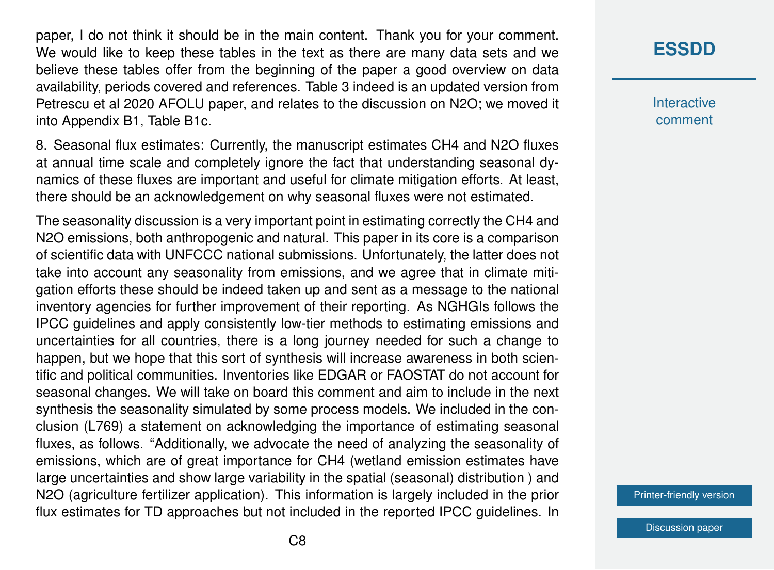paper, I do not think it should be in the main content. Thank you for your comment. We would like to keep these tables in the text as there are many data sets and we believe these tables offer from the beginning of the paper a good overview on data availability, periods covered and references. Table 3 indeed is an updated version from Petrescu et al 2020 AFOLU paper, and relates to the discussion on N2O; we moved it into Appendix B1, Table B1c.

8. Seasonal flux estimates: Currently, the manuscript estimates CH4 and N2O fluxes at annual time scale and completely ignore the fact that understanding seasonal dynamics of these fluxes are important and useful for climate mitigation efforts. At least, there should be an acknowledgement on why seasonal fluxes were not estimated.

The seasonality discussion is a very important point in estimating correctly the CH4 and N2O emissions, both anthropogenic and natural. This paper in its core is a comparison of scientific data with UNFCCC national submissions. Unfortunately, the latter does not take into account any seasonality from emissions, and we agree that in climate mitigation efforts these should be indeed taken up and sent as a message to the national inventory agencies for further improvement of their reporting. As NGHGIs follows the IPCC guidelines and apply consistently low-tier methods to estimating emissions and uncertainties for all countries, there is a long journey needed for such a change to happen, but we hope that this sort of synthesis will increase awareness in both scientific and political communities. Inventories like EDGAR or FAOSTAT do not account for seasonal changes. We will take on board this comment and aim to include in the next synthesis the seasonality simulated by some process models. We included in the conclusion (L769) a statement on acknowledging the importance of estimating seasonal fluxes, as follows. "Additionally, we advocate the need of analyzing the seasonality of emissions, which are of great importance for CH4 (wetland emission estimates have large uncertainties and show large variability in the spatial (seasonal) distribution ) and N2O (agriculture fertilizer application). This information is largely included in the prior flux estimates for TD approaches but not included in the reported IPCC guidelines. In

## **[ESSDD](https://essd.copernicus.org/preprints/)**

**Interactive** comment

[Printer-friendly version](https://essd.copernicus.org/preprints/essd-2020-367/essd-2020-367-AC2-print.pdf)